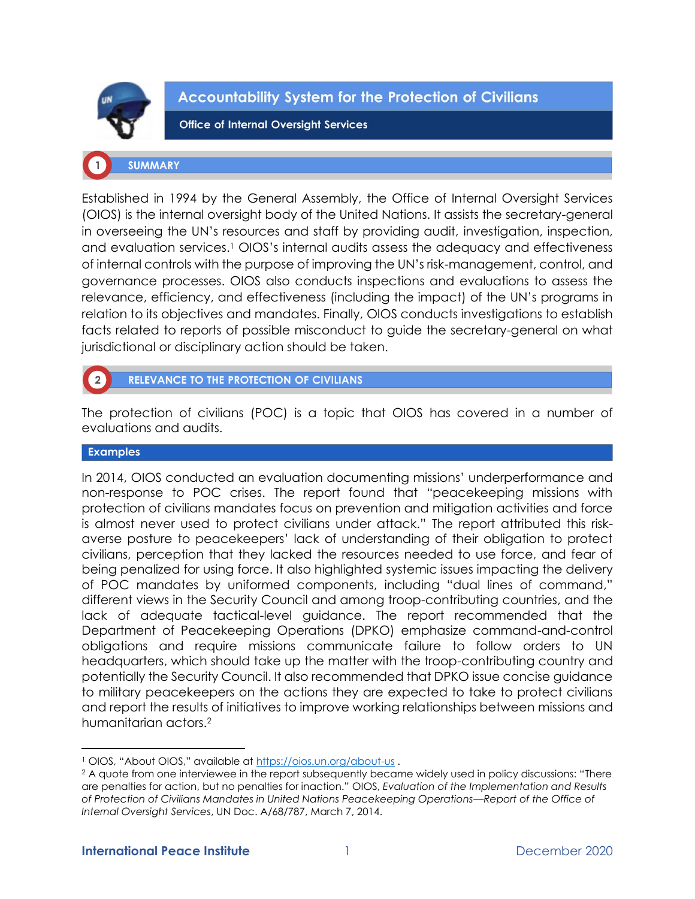

**Accountability System for the Protection of Civilians** 

**Office of Internal Oversight Services** 

## **SUMMARY**

Established in 1994 by the General Assembly, the Office of Internal Oversight Services (OIOS) is the internal oversight body of the United Nations. It assists the secretary-general in overseeing the UN's resources and staff by providing audit, investigation, inspection, and evaluation services.<sup>1</sup> OIOS's internal audits assess the adequacy and effectiveness of internal controls with the purpose of improving the UN's risk-management, control, and governance processes. OIOS also conducts inspections and evaluations to assess the relevance, efficiency, and effectiveness (including the impact) of the UN's programs in relation to its objectives and mandates. Finally, OIOS conducts investigations to establish facts related to reports of possible misconduct to guide the secretary-general on what jurisdictional or disciplinary action should be taken.

# RELEVANCE TO THE PROTECTION OF CIVILIANS

The protection of civilians (POC) is a topic that OIOS has covered in a number of evaluations and audits.

## **Examples**

In 2014, OIOS conducted an evaluation documenting missions' underperformance and non-response to POC crises. The report found that "peacekeeping missions with protection of civilians mandates focus on prevention and mitigation activities and force is almost never used to protect civilians under attack." The report attributed this riskaverse posture to peacekeepers' lack of understanding of their obligation to protect civilians, perception that they lacked the resources needed to use force, and fear of being penalized for using force. It also highlighted systemic issues impacting the delivery of POC mandates by uniformed components, including "dual lines of command," different views in the Security Council and among troop-contributing countries, and the lack of adequate tactical-level guidance. The report recommended that the Department of Peacekeeping Operations (DPKO) emphasize command-and-control obligations and require missions communicate failure to follow orders to UN headquarters, which should take up the matter with the troop-contributing country and potentially the Security Council. It also recommended that DPKO issue concise guidance to military peacekeepers on the actions they are expected to take to protect civilians and report the results of initiatives to improve working relationships between missions and humanitarian actors.<sup>2</sup>

<sup>1</sup> OIOS, "About OIOS," available at <https://oios.un.org/about-us> .

<sup>&</sup>lt;sup>2</sup> A quote from one interviewee in the report subsequently became widely used in policy discussions: "There are penalties for action, but no penalties for inaction." OIOS, *Evaluation of the Implementation and Results of Protection of Civilians Mandates in United Nations Peacekeeping Operations—Report of the Office of Internal Oversight Services*, UN Doc. A/68/787, March 7, 2014.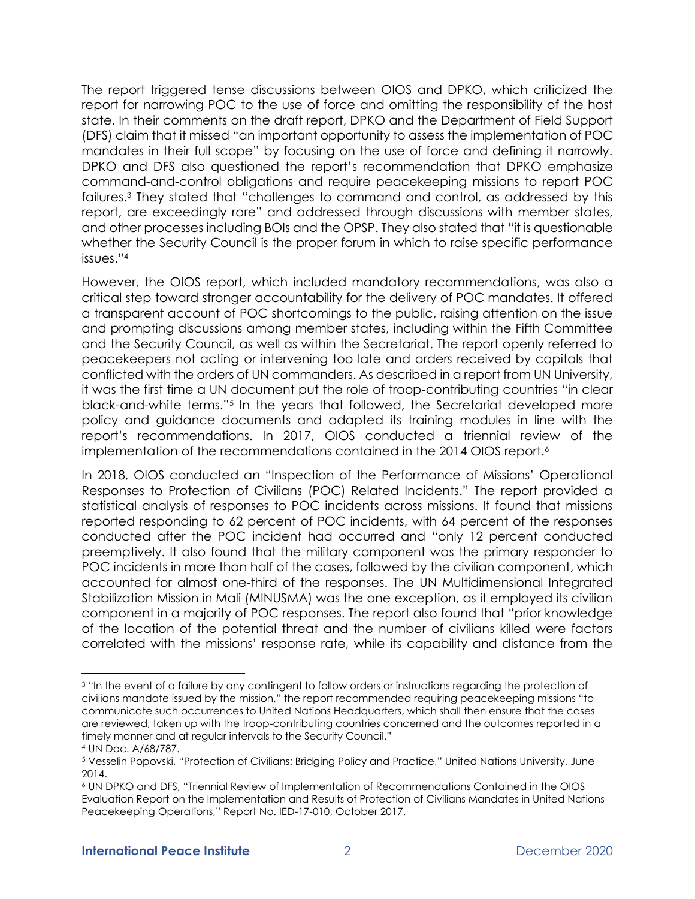The report triggered tense discussions between OIOS and DPKO, which criticized the report for narrowing POC to the use of force and omitting the responsibility of the host state. In their comments on the draft report, DPKO and the Department of Field Support (DFS) claim that it missed "an important opportunity to assess the implementation of POC mandates in their full scope" by focusing on the use of force and defining it narrowly. DPKO and DFS also questioned the report's recommendation that DPKO emphasize command-and-control obligations and require peacekeeping missions to report POC failures.<sup>3</sup> They stated that "challenges to command and control, as addressed by this report, are exceedingly rare" and addressed through discussions with member states, and other processes including BOIs and the OPSP. They also stated that "it is questionable whether the Security Council is the proper forum in which to raise specific performance issues."<sup>4</sup>

However, the OIOS report, which included mandatory recommendations, was also a critical step toward stronger accountability for the delivery of POC mandates. It offered a transparent account of POC shortcomings to the public, raising attention on the issue and prompting discussions among member states, including within the Fifth Committee and the Security Council, as well as within the Secretariat. The report openly referred to peacekeepers not acting or intervening too late and orders received by capitals that conflicted with the orders of UN commanders. As described in a report from UN University, it was the first time a UN document put the role of troop-contributing countries "in clear black-and-white terms."<sup>5</sup> In the years that followed, the Secretariat developed more policy and guidance documents and adapted its training modules in line with the report's recommendations. In 2017, OIOS conducted a triennial review of the implementation of the recommendations contained in the 2014 OIOS report.<sup>6</sup>

In 2018, OIOS conducted an "Inspection of the Performance of Missions' Operational Responses to Protection of Civilians (POC) Related Incidents." The report provided a statistical analysis of responses to POC incidents across missions. It found that missions reported responding to 62 percent of POC incidents, with 64 percent of the responses conducted after the POC incident had occurred and "only 12 percent conducted preemptively. It also found that the military component was the primary responder to POC incidents in more than half of the cases, followed by the civilian component, which accounted for almost one-third of the responses. The UN Multidimensional Integrated Stabilization Mission in Mali (MINUSMA) was the one exception, as it employed its civilian component in a majority of POC responses. The report also found that "prior knowledge of the location of the potential threat and the number of civilians killed were factors correlated with the missions' response rate, while its capability and distance from the

<sup>3</sup> "In the event of a failure by any contingent to follow orders or instructions regarding the protection of civilians mandate issued by the mission," the report recommended requiring peacekeeping missions "to communicate such occurrences to United Nations Headquarters, which shall then ensure that the cases are reviewed, taken up with the troop-contributing countries concerned and the outcomes reported in a timely manner and at regular intervals to the Security Council."

<sup>4</sup> UN Doc. A/68/787.

<sup>5</sup> Vesselin Popovski, "Protection of Civilians: Bridging Policy and Practice," United Nations University, June 2014.

<sup>6</sup> UN DPKO and DFS, "Triennial Review of Implementation of Recommendations Contained in the OIOS Evaluation Report on the Implementation and Results of Protection of Civilians Mandates in United Nations Peacekeeping Operations," Report No. IED-17-010, October 2017.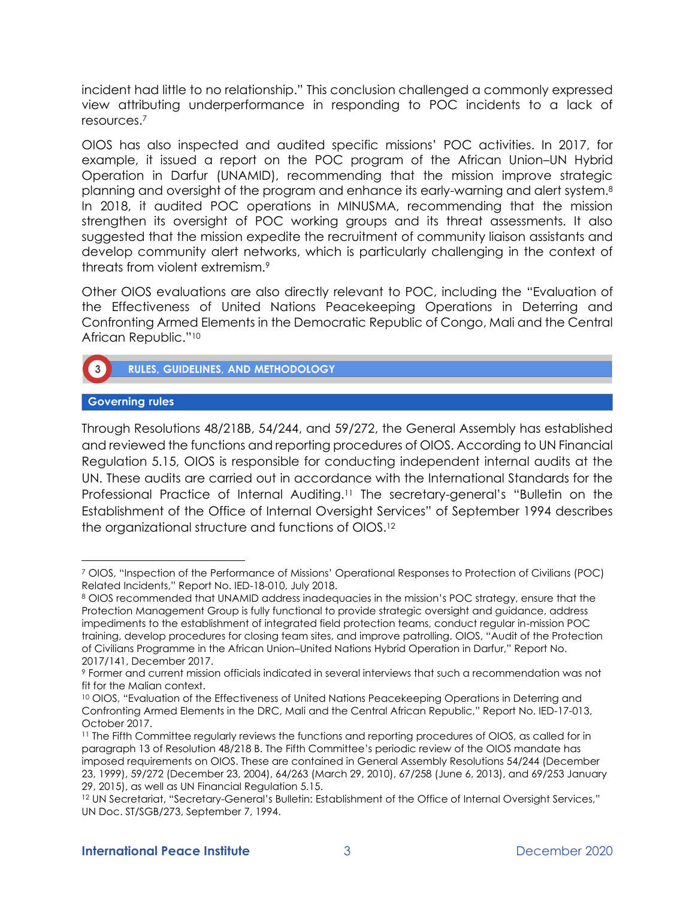incident had little to no relationship." This conclusion challenged a commonly expressed view attributing underperformance in responding to POC incidents to a lack of resources.<sup>7</sup>

OIOS has also inspected and audited specific missions' POC activities. In 2017, for example, it issued a report on the POC program of the African Union–UN Hybrid Operation in Darfur (UNAMID), recommending that the mission improve strategic planning and oversight of the program and enhance its early-warning and alert system.<sup>8</sup> In 2018, it audited POC operations in MINUSMA, recommending that the mission strengthen its oversight of POC working groups and its threat assessments. It also suggested that the mission expedite the recruitment of community liaison assistants and develop community alert networks, which is particularly challenging in the context of threats from violent extremism.<sup>9</sup>

Other OIOS evaluations are also directly relevant to POC, including the "Evaluation of the Effectiveness of United Nations Peacekeeping Operations in Deterring and Confronting Armed Elements in the Democratic Republic of Congo, Mali and the Central African Republic."<sup>10</sup>



RULES, GUIDELINES, AND METHODOLOGY

## **Governing rules**

Through Resolutions 48/218B, 54/244, and 59/272, the General Assembly has established and reviewed the functions and reporting procedures of OIOS. According to UN Financial Regulation 5.15, OIOS is responsible for conducting independent internal audits at the UN. These audits are carried out in accordance with the International Standards for the Professional Practice of Internal Auditing.<sup>11</sup> The secretary-general's "Bulletin on the Establishment of the Office of Internal Oversight Services" of September 1994 describes the organizational structure and functions of OIOS.<sup>12</sup>

<sup>7</sup> OIOS, "Inspection of the Performance of Missions' Operational Responses to Protection of Civilians (POC) Related Incidents," Report No. IED-18-010, July 2018.

<sup>8</sup> OIOS recommended that UNAMID address inadequacies in the mission's POC strategy, ensure that the Protection Management Group is fully functional to provide strategic oversight and guidance, address impediments to the establishment of integrated field protection teams, conduct regular in-mission POC training, develop procedures for closing team sites, and improve patrolling. OIOS, "Audit of the Protection of Civilians Programme in the African Union–United Nations Hybrid Operation in Darfur," Report No. 2017/141, December 2017.

<sup>9</sup> Former and current mission officials indicated in several interviews that such a recommendation was not fit for the Malian context.

<sup>&</sup>lt;sup>10</sup> OIOS, "Evaluation of the Effectiveness of United Nations Peacekeeping Operations in Deterring and Confronting Armed Elements in the DRC, Mali and the Central African Republic," Report No. IED-17-013, October 2017.

<sup>&</sup>lt;sup>11</sup> The Fifth Committee regularly reviews the functions and reporting procedures of OIOS, as called for in paragraph 13 of Resolution 48/218 B. The Fifth Committee's periodic review of the OIOS mandate has imposed requirements on OIOS. These are contained in General Assembly Resolutions 54/244 (December 23, 1999), 59/272 (December 23, 2004), 64/263 (March 29, 2010), 67/258 (June 6, 2013), and 69/253 January 29, 2015), as well as UN Financial Regulation 5.15.

<sup>12</sup> UN Secretariat, "Secretary-General's Bulletin: Establishment of the Office of Internal Oversight Services," UN Doc. ST/SGB/273, September 7, 1994.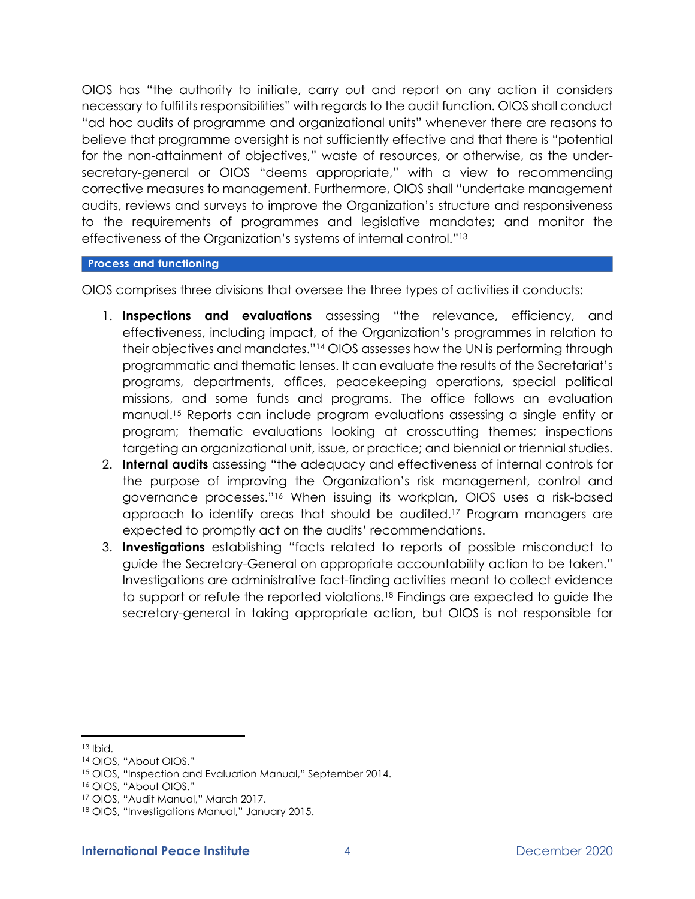OIOS has "the authority to initiate, carry out and report on any action it considers necessary to fulfil its responsibilities" with regards to the audit function. OIOS shall conduct "ad hoc audits of programme and organizational units" whenever there are reasons to believe that programme oversight is not sufficiently effective and that there is "potential for the non-attainment of objectives," waste of resources, or otherwise, as the undersecretary-general or OIOS "deems appropriate," with a view to recommending corrective measures to management. Furthermore, OIOS shall "undertake management audits, reviews and surveys to improve the Organization's structure and responsiveness to the requirements of programmes and legislative mandates; and monitor the effectiveness of the Organization's systems of internal control."<sup>13</sup>

## **Process and functioning**

OIOS comprises three divisions that oversee the three types of activities it conducts:

- 1. **Inspections and evaluations** assessing "the relevance, efficiency, and effectiveness, including impact, of the Organization's programmes in relation to their objectives and mandates."<sup>14</sup> OIOS assesses how the UN is performing through programmatic and thematic lenses. It can evaluate the results of the Secretariat's programs, departments, offices, peacekeeping operations, special political missions, and some funds and programs. The office follows an evaluation manual.<sup>15</sup> Reports can include program evaluations assessing a single entity or program; thematic evaluations looking at crosscutting themes; inspections targeting an organizational unit, issue, or practice; and biennial or triennial studies.
- 2. **Internal audits** assessing "the adequacy and effectiveness of internal controls for the purpose of improving the Organization's risk management, control and governance processes."<sup>16</sup> When issuing its workplan, OIOS uses a risk-based approach to identify areas that should be audited.<sup>17</sup> Program managers are expected to promptly act on the audits' recommendations.
- 3. **Investigations** establishing "facts related to reports of possible misconduct to guide the Secretary-General on appropriate accountability action to be taken." Investigations are administrative fact-finding activities meant to collect evidence to support or refute the reported violations.<sup>18</sup> Findings are expected to guide the secretary-general in taking appropriate action, but OIOS is not responsible for

<sup>13</sup> Ibid.

<sup>14</sup> OIOS, "About OIOS."

<sup>15</sup> OIOS, "Inspection and Evaluation Manual," September 2014.

<sup>16</sup> OIOS, "About OIOS."

<sup>17</sup> OIOS, "Audit Manual," March 2017.

<sup>18</sup> OIOS, "Investigations Manual," January 2015.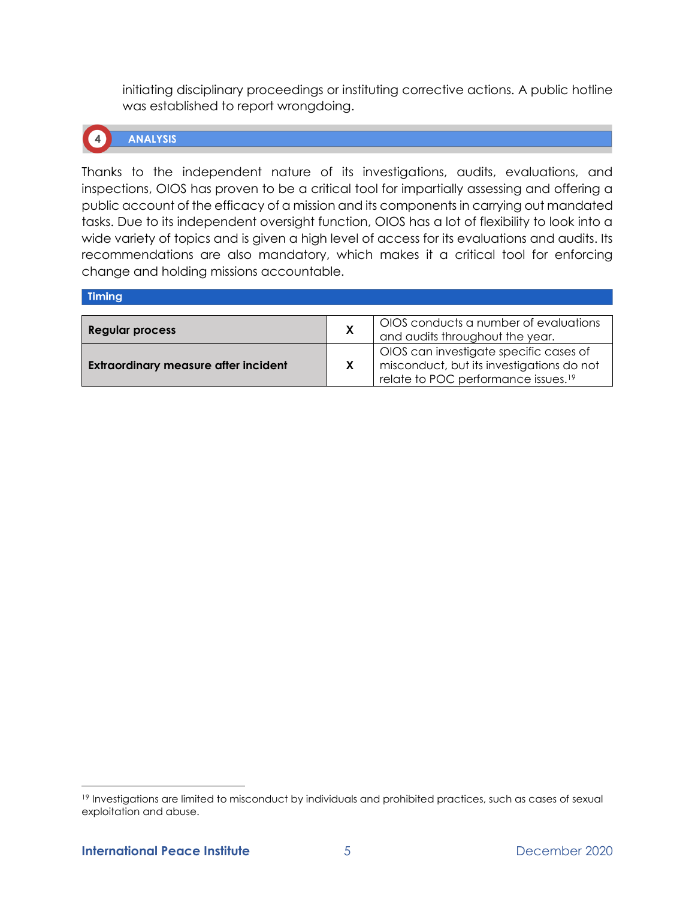initiating disciplinary proceedings or instituting corrective actions. A public hotline was established to report wrongdoing.



**ANALYSIS** 

Thanks to the independent nature of its investigations, audits, evaluations, and inspections, OIOS has proven to be a critical tool for impartially assessing and offering a public account of the efficacy of a mission and its components in carrying out mandated tasks. Due to its independent oversight function, OIOS has a lot of flexibility to look into a wide variety of topics and is given a high level of access for its evaluations and audits. Its recommendations are also mandatory, which makes it a critical tool for enforcing change and holding missions accountable.

| Timing                                      |   |                                                 |
|---------------------------------------------|---|-------------------------------------------------|
|                                             |   |                                                 |
| <b>Regular process</b>                      | Х | OIOS conducts a number of evaluations           |
|                                             |   | and audits throughout the year.                 |
|                                             |   | OIOS can investigate specific cases of          |
| <b>Extraordinary measure after incident</b> |   | misconduct, but its investigations do not       |
|                                             |   | relate to POC performance issues. <sup>19</sup> |

<sup>19</sup> Investigations are limited to misconduct by individuals and prohibited practices, such as cases of sexual exploitation and abuse.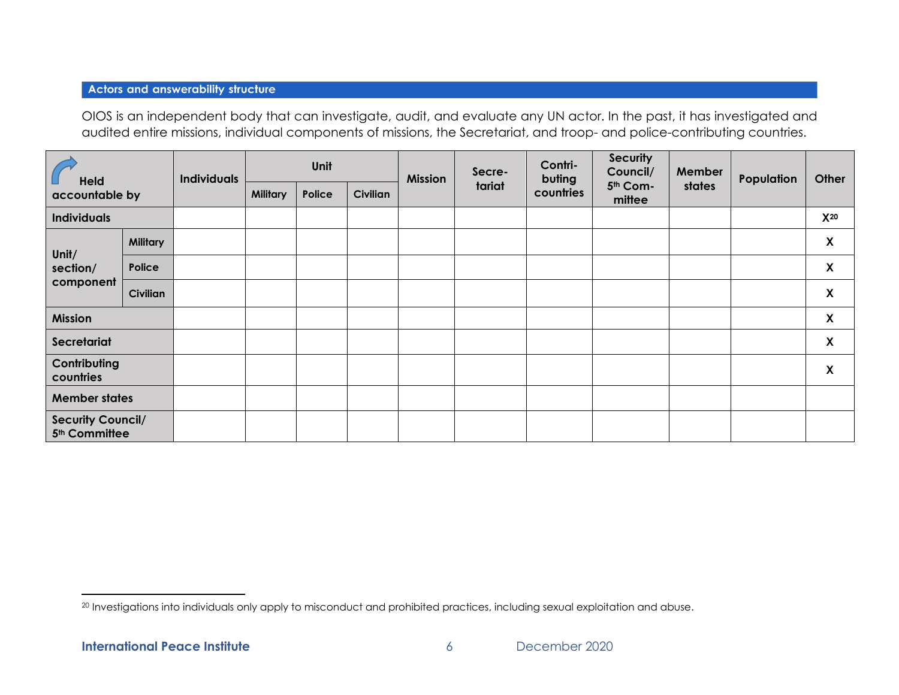## **Actors and answerability structure**

OIOS is an independent body that can investigate, audit, and evaluate any UN actor. In the past, it has investigated and audited entire missions, individual components of missions, the Secretariat, and troop- and police-contributing countries.

| <b>Held</b><br>accountable by                         |                 | <b>Individuals</b> | Unit            |        | <b>Mission</b> | Secre- | Contri-<br>buting | <b>Security</b><br>Council/ | Member             | Population | Other |                           |
|-------------------------------------------------------|-----------------|--------------------|-----------------|--------|----------------|--------|-------------------|-----------------------------|--------------------|------------|-------|---------------------------|
|                                                       |                 |                    | <b>Military</b> | Police | Civilian       |        | tariat            | countries                   | 5th Com-<br>mittee | states     |       |                           |
| <b>Individuals</b>                                    |                 |                    |                 |        |                |        |                   |                             |                    |            |       | $X^{20}$                  |
|                                                       | <b>Military</b> |                    |                 |        |                |        |                   |                             |                    |            |       | X                         |
| Unit/<br>section/                                     | Police          |                    |                 |        |                |        |                   |                             |                    |            |       | $\boldsymbol{\mathsf{X}}$ |
| component                                             | <b>Civilian</b> |                    |                 |        |                |        |                   |                             |                    |            |       | $\boldsymbol{\mathsf{X}}$ |
| <b>Mission</b>                                        |                 |                    |                 |        |                |        |                   |                             |                    |            |       | X                         |
| Secretariat                                           |                 |                    |                 |        |                |        |                   |                             |                    |            |       | $\pmb{\mathsf{X}}$        |
| Contributing<br>countries                             |                 |                    |                 |        |                |        |                   |                             |                    |            |       | $\boldsymbol{\mathsf{X}}$ |
| <b>Member states</b>                                  |                 |                    |                 |        |                |        |                   |                             |                    |            |       |                           |
| <b>Security Council/</b><br>5 <sup>th</sup> Committee |                 |                    |                 |        |                |        |                   |                             |                    |            |       |                           |

<sup>&</sup>lt;sup>20</sup> Investigations into individuals only apply to misconduct and prohibited practices, including sexual exploitation and abuse.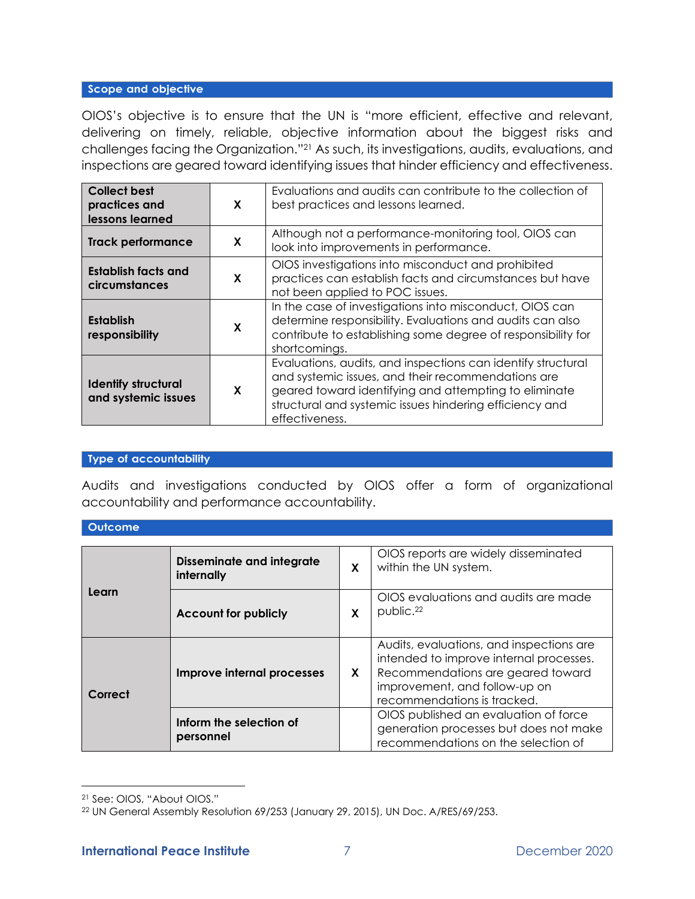## Scope and objective

OIOS's objective is to ensure that the UN is "more efficient, effective and relevant, delivering on timely, reliable, objective information about the biggest risks and challenges facing the Organization."<sup>21</sup> As such, its investigations, audits, evaluations, and inspections are geared toward identifying issues that hinder efficiency and effectiveness.

| <b>Collect best</b><br>practices and<br>lessons learned | X | Evaluations and audits can contribute to the collection of<br>best practices and lessons learned.                                                                                                                                                        |
|---------------------------------------------------------|---|----------------------------------------------------------------------------------------------------------------------------------------------------------------------------------------------------------------------------------------------------------|
| <b>Track performance</b>                                | X | Although not a performance-monitoring tool, OIOS can<br>look into improvements in performance.                                                                                                                                                           |
| Establish facts and<br>circumstances                    | X | OIOS investigations into misconduct and prohibited<br>practices can establish facts and circumstances but have<br>not been applied to POC issues.                                                                                                        |
| <b>Establish</b><br>responsibility                      | X | In the case of investigations into misconduct, OIOS can<br>determine responsibility. Evaluations and audits can also<br>contribute to establishing some degree of responsibility for<br>shortcomings.                                                    |
| <b>Identify structural</b><br>and systemic issues       | X | Evaluations, audits, and inspections can identify structural<br>and systemic issues, and their recommendations are<br>geared toward identifying and attempting to eliminate<br>structural and systemic issues hindering efficiency and<br>effectiveness. |

#### **Type of accountability**

Audits and investigations conducted by OIOS offer a form of organizational accountability and performance accountability.

#### **Outcome**

|         | <b>Disseminate and integrate</b><br>internally | X | OIOS reports are widely disseminated<br>within the UN system.                                                                                                                            |  |  |
|---------|------------------------------------------------|---|------------------------------------------------------------------------------------------------------------------------------------------------------------------------------------------|--|--|
| Learn   | <b>Account for publicly</b>                    |   | OIOS evaluations and audits are made<br>public. <sup>22</sup>                                                                                                                            |  |  |
| Correct | Improve internal processes                     |   | Audits, evaluations, and inspections are<br>intended to improve internal processes.<br>Recommendations are geared toward<br>improvement, and follow-up on<br>recommendations is tracked. |  |  |
|         | Inform the selection of<br>personnel           |   | OIOS published an evaluation of force<br>generation processes but does not make<br>recommendations on the selection of                                                                   |  |  |

<sup>21</sup> See: OIOS, "About OIOS."

<sup>22</sup> UN General Assembly Resolution 69/253 (January 29, 2015), UN Doc. A/RES/69/253.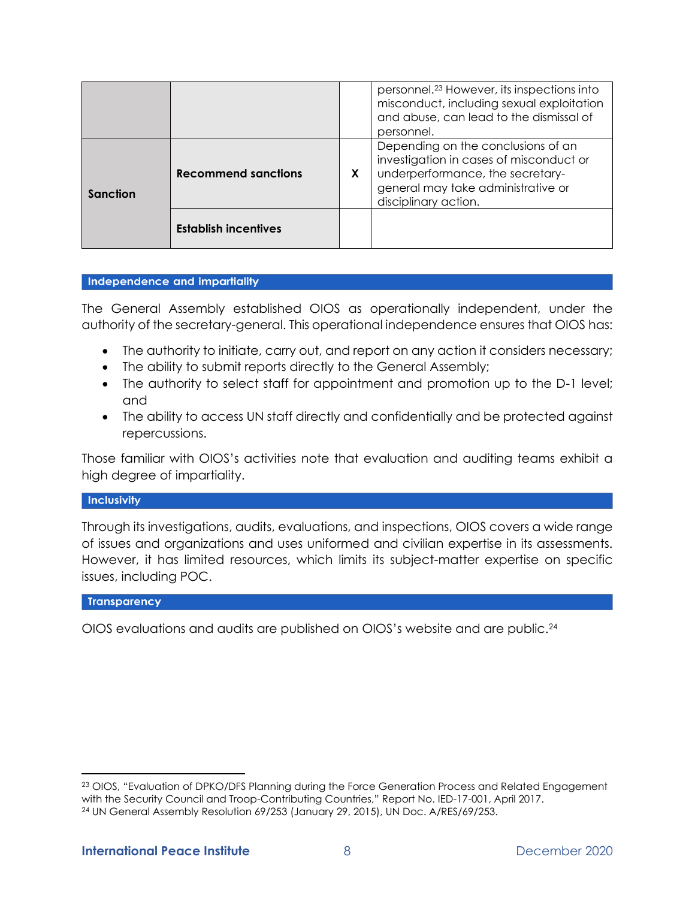|          |                             |    | personnel. <sup>23</sup> However, its inspections into<br>misconduct, including sexual exploitation<br>and abuse, can lead to the dismissal of<br>personnel.                    |
|----------|-----------------------------|----|---------------------------------------------------------------------------------------------------------------------------------------------------------------------------------|
| Sanction | <b>Recommend sanctions</b>  | X. | Depending on the conclusions of an<br>investigation in cases of misconduct or<br>underperformance, the secretary-<br>general may take administrative or<br>disciplinary action. |
|          | <b>Establish incentives</b> |    |                                                                                                                                                                                 |

#### Independence and impartiality

The General Assembly established OIOS as operationally independent, under the authority of the secretary-general. This operational independence ensures that OIOS has:

- The authority to initiate, carry out, and report on any action it considers necessary;
- The ability to submit reports directly to the General Assembly;
- The authority to select staff for appointment and promotion up to the D-1 level; and
- The ability to access UN staff directly and confidentially and be protected against repercussions.

Those familiar with OIOS's activities note that evaluation and auditing teams exhibit a high degree of impartiality.

#### Inclusivity

Through its investigations, audits, evaluations, and inspections, OIOS covers a wide range of issues and organizations and uses uniformed and civilian expertise in its assessments. However, it has limited resources, which limits its subject-matter expertise on specific issues, including POC.

#### **Transparency**

OIOS evaluations and audits are published on OIOS's website and are public.<sup>24</sup>

<sup>&</sup>lt;sup>23</sup> OIOS, "Evaluation of DPKO/DFS Planning during the Force Generation Process and Related Engagement with the Security Council and Troop-Contributing Countries," Report No. IED-17-001, April 2017. <sup>24</sup> UN General Assembly Resolution 69/253 (January 29, 2015), UN Doc. A/RES/69/253.